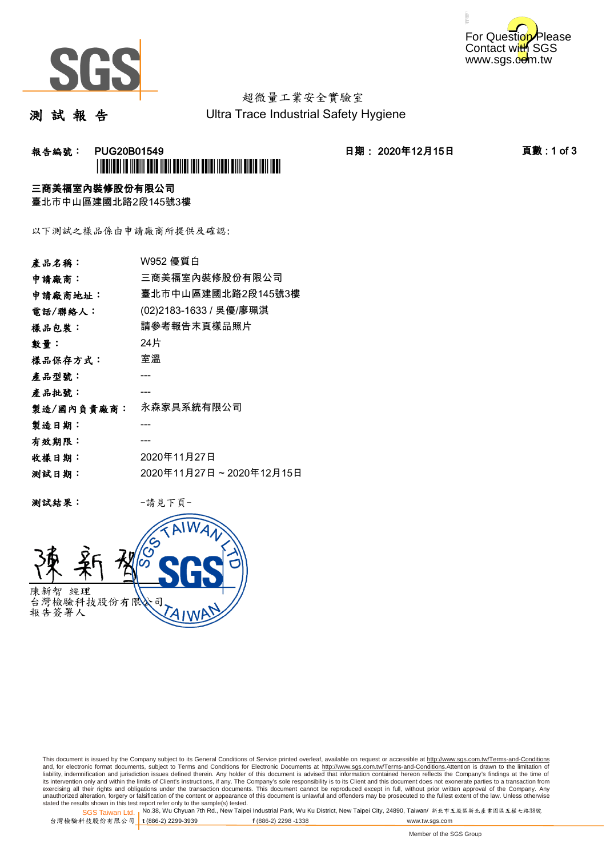



# 超微量工業安全實驗室

測 試 報 告

Ultra Trace Industrial Safety Hygiene

## **報告編號: PUG20B01549 日期: 2020年12月15日 頁數:1 of 3** \*PUG20B01549\*

### 三商美福室內裝修股份有限公司

臺北市中山區建國北路2段145號3樓

以下測試之樣品係由申請廠商所提供及確認:

| 產品名稱:      | W952 優質白                |
|------------|-------------------------|
| 申請廠商:      | 三商美福室內裝修股份有限公司          |
| 申請廠商地址:    | 臺北市中山區建國北路2段145號3樓      |
| 電話/聯絡人:    | (02)2183-1633 / 吳優/廖珮淇  |
| 樣品包裝:      | 請參考報告末頁樣品照片             |
| 數量 :       | 24片                     |
| 樣品保存方式:    | 室溫                      |
| 產品型號:      |                         |
| 產品批號:      |                         |
| 製造/國內負責廠商: | 永森家具系統有限公司              |
| 製造日期:      |                         |
| 有效期限:      |                         |
| 收樣日期:      | 2020年11月27日             |
| 测試日期:      | 2020年11月27日~2020年12月15日 |
|            |                         |

测試結果: 一請見下頁



This document is issued by the Company subject to its General Conditions of Service printed overleaf, available on request or accessible at http://www.sgs.com.tw/Terms-and-Conditions and, for electronic format documents, subject to Terms and Conditions for Electronic Documents at <u>http://www.sgs.com.tw/Terms-and-Conditions</u>.Attention is drawn to the limitation of<br>liability, indemnification and jurisdic exercising all their rights and obligations under the transaction documents. This document cannot be reproduced except in full, without prior written approval of the Company. Any<br>unauthorized alteration, forgery or falsifi

SGS Taiwan Ltd. 1 stated the results shown in this test report refer only to the sample(s) tested.<br>Stated the results shown in this test report refer only to the sample(s) tested.

台灣檢驗科技股份有限公司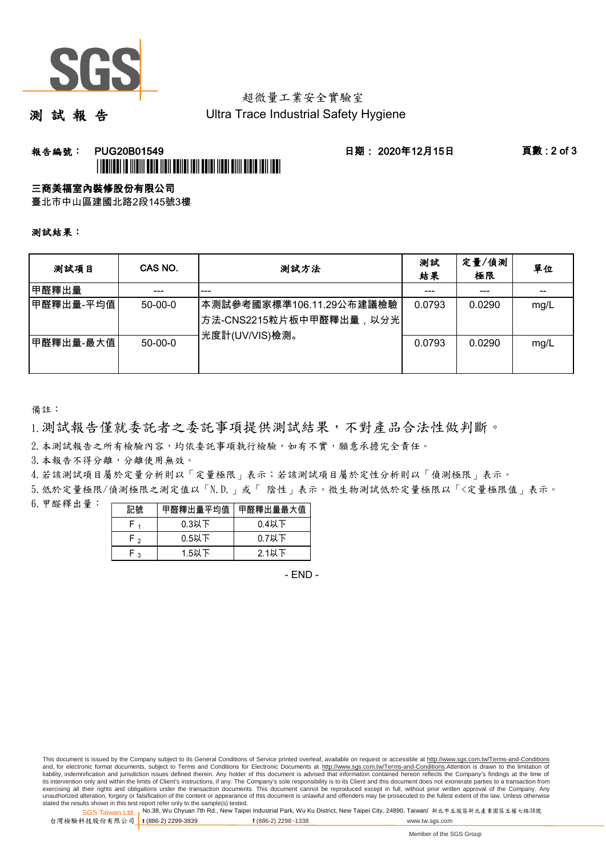

## 超微量工業安全實驗室

測 試 報 告

Ultra Trace Industrial Safety Hygiene

### **報告編號: PUG20B01549 日期: 2020年12月15日 頁數:2 of 3** \*PUG20B01549\*

#### 三商美福室內裝修股份有限公司

臺北市中山區建國北路2段145號3樓

測試結果:

| 测試項目      | CAS NO.       | 測試方法                                                                                | 測試<br>結果 | 定量/偵測<br>極限 | 單位   |
|-----------|---------------|-------------------------------------------------------------------------------------|----------|-------------|------|
| 甲醛釋出量     |               | ---                                                                                 |          |             |      |
| 甲醛釋出量-平均值 | $50-00-0$     | 本測試參考國家標準106.11.29公布建議檢驗<br><sup> </sup> 方法-CNS2215粒片板中甲醛釋出量,以分光 <br>光度計(UV/VIS)檢測。 | 0.0793   | 0.0290      | mg/L |
| 甲醛釋出量-最大值 | $50 - 00 - 0$ |                                                                                     | 0.0793   | 0.0290      | mg/L |

備註:

1.測試報告僅就委託者之委託事項提供測試結果,不對產品合法性做判斷。

2.本測試報告之所有檢驗內容,均依委託事項執行檢驗,如有不實,願意承擔完全責任。

3. 本報告不得分離,分離使用無效。

4.若該測試項目屬於定量分析則以「定量極限」表示;若該測試項目屬於定性分析則以「偵測極限」表示。

5.低於定量極限/偵測極限之測定值以「N.D.」或「 陰性」表示。微生物測試低於定量極限以「<定量極限值」表示。

6.甲醛釋出量:

|                | 甲醛釋出量平均值丨 | 甲醛釋出量最大值 |  |  |
|----------------|-----------|----------|--|--|
|                | $0.3$ 以下  | $0.4$ 以下 |  |  |
| ໍ່             | $0.5$ 以下  | $0.7$ 以下 |  |  |
| $\overline{ }$ | $1.5$ 以下  | 2.1以下    |  |  |

- END -

This document is issued by the Company subject to its General Conditions of Service printed overleaf, available on request or accessible at http://www.sgs.com.tw/Terms-and-Conditions and, for electronic format documents, subject to Terms and Conditions for Electronic Documents at http://www.sgs.com.tw/Terms-and-Conditions.Attention is drawn to the limitation of liability, indemnification and jurisdiction issues defined therein. Any holder of this document is advised that information contained hereon reflects the Company's findings at the time of<br>its intervention only and within t exercising all their rights and obligations under the transaction documents. This document cannot be reproduced except in full, without prior written approval of the Company. Any<br>unauthorized alteration, forgery or falsifi

SGS Taiwan Ltd. 1 stated the results shown in this test report refer only to the sample(s) tested.<br>Stated the results shown in this test report refer only to the sample(s) tested.

台灣檢驗科技股份有限公司

**t** (886-2) 2299-3939 **f** (886-2) 2298 -1338 www.tw.sgs.com